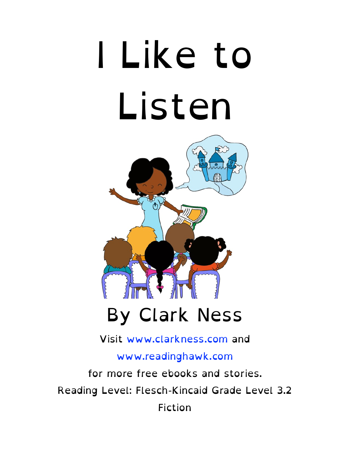# I Like to Listen



#### By Clark Ness

Visit [www.clarkness.com](http://www.clarkness.com) and

[www.readinghawk.com](http://www.readinghawk.com)

for more free ebooks and stories. Reading Level: Flesch-Kincaid Grade Level 3.2 Fiction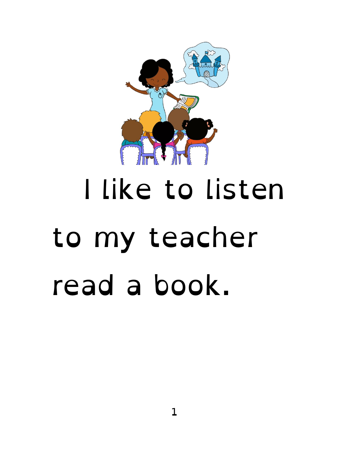

### I like to listen to my teacher read a book.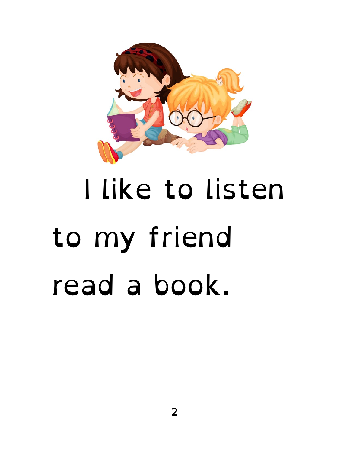

#### I like to listen to my friend read a book.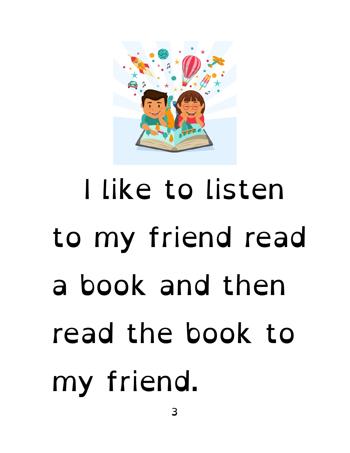

# I like to listen to my friend read a book and then read the book to my friend.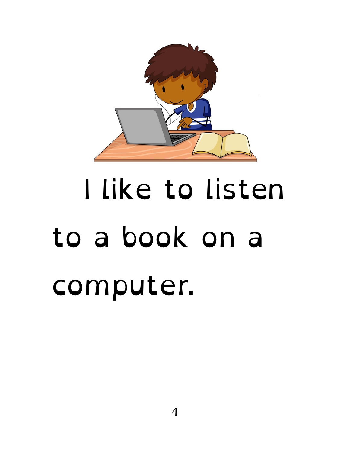

### I like to listen to a book on a computer.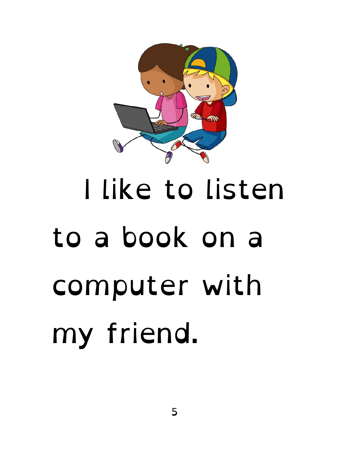

# I like to listen to a book on a computer with my friend.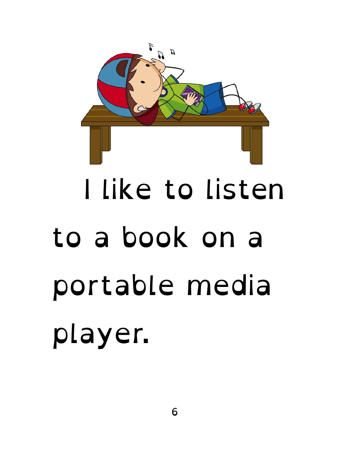

# I like to listen to a book on a portable media player.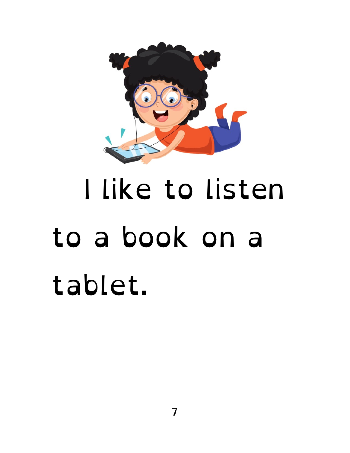

### I like to listen to a book on a tablet.